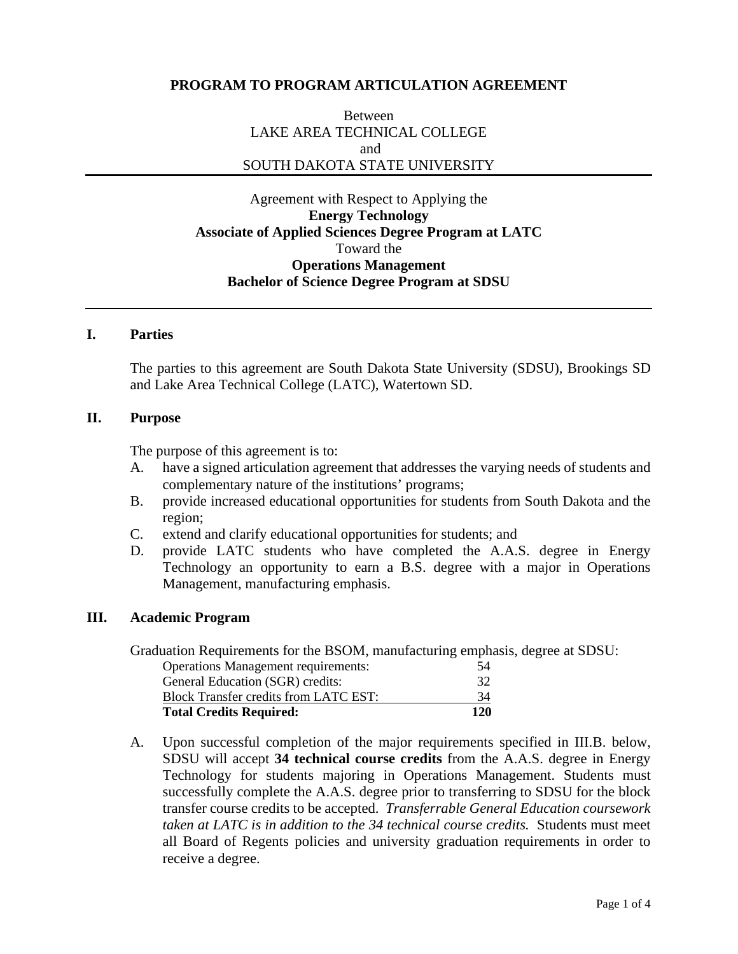# **PROGRAM TO PROGRAM ARTICULATION AGREEMENT**

Between LAKE AREA TECHNICAL COLLEGE and SOUTH DAKOTA STATE UNIVERSITY

Agreement with Respect to Applying the **Energy Technology Associate of Applied Sciences Degree Program at LATC**  Toward the **Operations Management Bachelor of Science Degree Program at SDSU**

#### **I. Parties**

The parties to this agreement are South Dakota State University (SDSU), Brookings SD and Lake Area Technical College (LATC), Watertown SD.

## **II. Purpose**

The purpose of this agreement is to:

- A. have a signed articulation agreement that addresses the varying needs of students and complementary nature of the institutions' programs;
- B. provide increased educational opportunities for students from South Dakota and the region;
- C. extend and clarify educational opportunities for students; and
- D. provide LATC students who have completed the A.A.S. degree in Energy Technology an opportunity to earn a B.S. degree with a major in Operations Management, manufacturing emphasis.

### **III. Academic Program**

Graduation Requirements for the BSOM, manufacturing emphasis, degree at SDSU:

| <b>Total Credits Required:</b>               | 120 |
|----------------------------------------------|-----|
| <b>Block Transfer credits from LATC EST:</b> | 34  |
| General Education (SGR) credits:             | 32  |
| <b>Operations Management requirements:</b>   | 54  |

A. Upon successful completion of the major requirements specified in III.B. below, SDSU will accept **34 technical course credits** from the A.A.S. degree in Energy Technology for students majoring in Operations Management. Students must successfully complete the A.A.S. degree prior to transferring to SDSU for the block transfer course credits to be accepted. *Transferrable General Education coursework taken at LATC is in addition to the 34 technical course credits.* Students must meet all Board of Regents policies and university graduation requirements in order to receive a degree.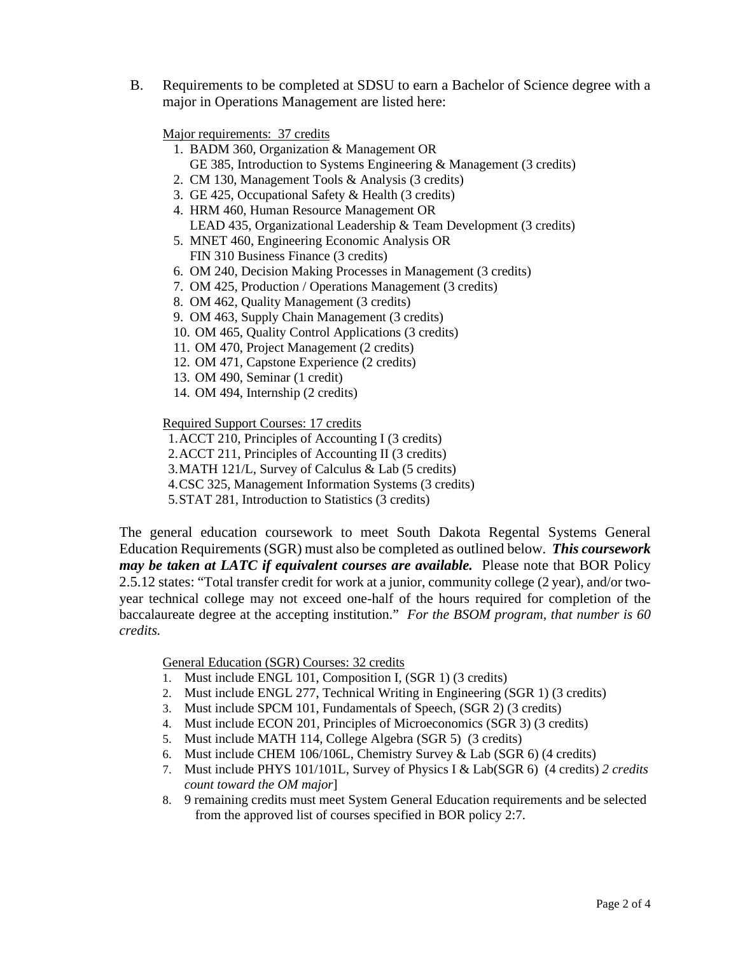B. Requirements to be completed at SDSU to earn a Bachelor of Science degree with a major in Operations Management are listed here:

Major requirements: 37 credits

- 1. BADM 360, Organization & Management OR GE 385, Introduction to Systems Engineering & Management (3 credits)
- 2. CM 130, Management Tools & Analysis (3 credits)
- 3. GE 425, Occupational Safety & Health (3 credits)
- 4. HRM 460, Human Resource Management OR LEAD 435, Organizational Leadership & Team Development (3 credits)
- 5. MNET 460, Engineering Economic Analysis OR FIN 310 Business Finance (3 credits)
- 6. OM 240, Decision Making Processes in Management (3 credits)
- 7. OM 425, Production / Operations Management (3 credits)
- 8. OM 462, Quality Management (3 credits)
- 9. OM 463, Supply Chain Management (3 credits)
- 10. OM 465, Quality Control Applications (3 credits)
- 11. OM 470, Project Management (2 credits)
- 12. OM 471, Capstone Experience (2 credits)
- 13. OM 490, Seminar (1 credit)
- 14. OM 494, Internship (2 credits)

Required Support Courses: 17 credits

1.ACCT 210, Principles of Accounting I (3 credits)

2.ACCT 211, Principles of Accounting II (3 credits)

3.MATH 121/L, Survey of Calculus & Lab (5 credits)

4.CSC 325, Management Information Systems (3 credits)

5.STAT 281, Introduction to Statistics (3 credits)

The general education coursework to meet South Dakota Regental Systems General Education Requirements (SGR) must also be completed as outlined below. *This coursework may be taken at LATC if equivalent courses are available.* Please note that BOR Policy 2.5.12 states: "Total transfer credit for work at a junior, community college (2 year), and/or twoyear technical college may not exceed one-half of the hours required for completion of the baccalaureate degree at the accepting institution." *For the BSOM program, that number is 60 credits.*

General Education (SGR) Courses: 32 credits

- 1. Must include ENGL 101, Composition I, (SGR 1) (3 credits)
- 2. Must include ENGL 277, Technical Writing in Engineering (SGR 1) (3 credits)
- 3. Must include SPCM 101, Fundamentals of Speech, (SGR 2) (3 credits)
- 4. Must include ECON 201, Principles of Microeconomics (SGR 3) (3 credits)
- 5. Must include MATH 114, College Algebra (SGR 5) (3 credits)
- 6. Must include CHEM 106/106L, Chemistry Survey & Lab (SGR 6) (4 credits)
- 7. Must include PHYS 101/101L, Survey of Physics I & Lab(SGR 6) (4 credits) *2 credits count toward the OM major*]
- 8. 9 remaining credits must meet System General Education requirements and be selected from the approved list of courses specified in BOR policy 2:7.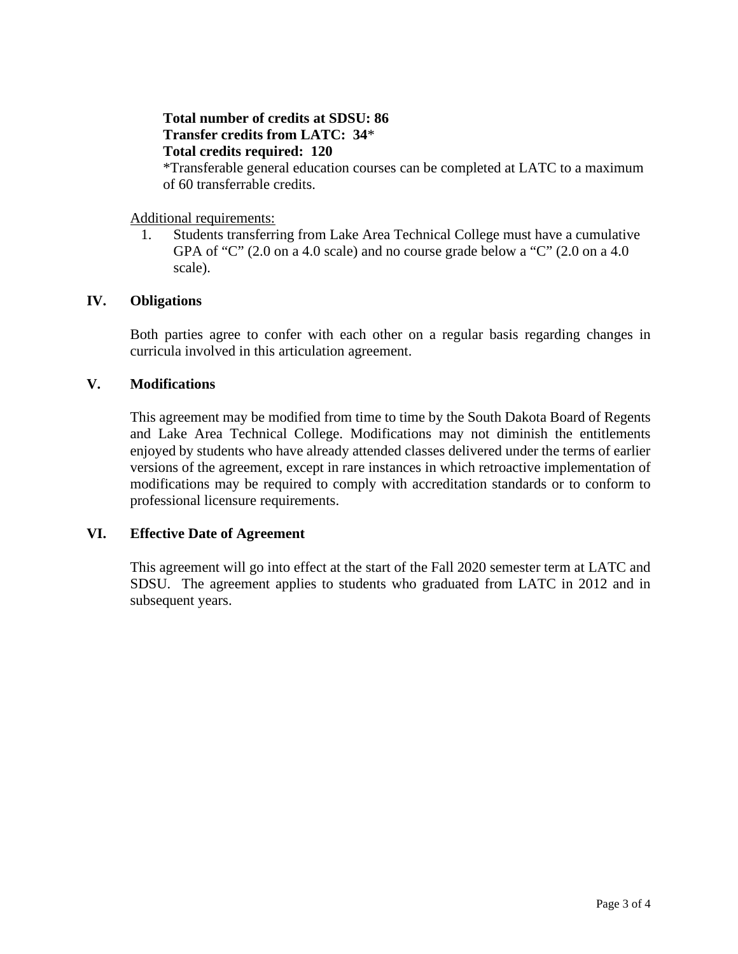# **Total number of credits at SDSU: 86 Transfer credits from LATC: 34**\* **Total credits required: 120**

\*Transferable general education courses can be completed at LATC to a maximum of 60 transferrable credits.

Additional requirements:

1. Students transferring from Lake Area Technical College must have a cumulative GPA of "C"  $(2.0 \text{ on a } 4.0 \text{ scale})$  and no course grade below a "C"  $(2.0 \text{ on a } 4.0 \text{ s}$ scale).

# **IV. Obligations**

Both parties agree to confer with each other on a regular basis regarding changes in curricula involved in this articulation agreement.

### **V. Modifications**

This agreement may be modified from time to time by the South Dakota Board of Regents and Lake Area Technical College. Modifications may not diminish the entitlements enjoyed by students who have already attended classes delivered under the terms of earlier versions of the agreement, except in rare instances in which retroactive implementation of modifications may be required to comply with accreditation standards or to conform to professional licensure requirements.

## **VI. Effective Date of Agreement**

This agreement will go into effect at the start of the Fall 2020 semester term at LATC and SDSU. The agreement applies to students who graduated from LATC in 2012 and in subsequent years.